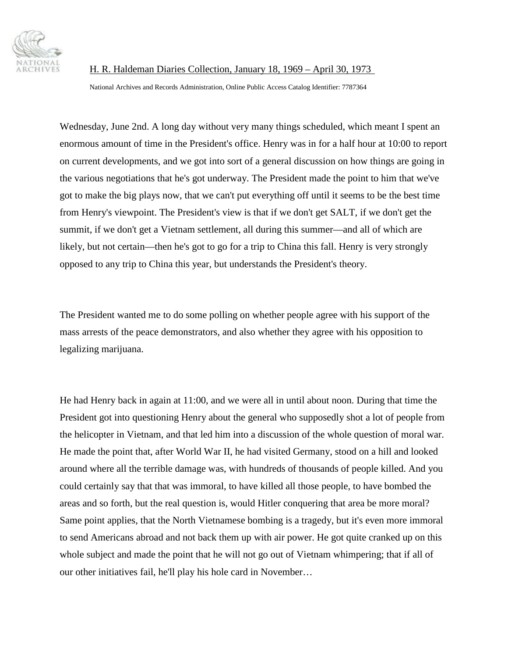

National Archives and Records Administration, Online Public Access Catalog Identifier: 7787364

Wednesday, June 2nd. A long day without very many things scheduled, which meant I spent an enormous amount of time in the President's office. Henry was in for a half hour at 10:00 to report on current developments, and we got into sort of a general discussion on how things are going in the various negotiations that he's got underway. The President made the point to him that we've got to make the big plays now, that we can't put everything off until it seems to be the best time from Henry's viewpoint. The President's view is that if we don't get SALT, if we don't get the summit, if we don't get a Vietnam settlement, all during this summer—and all of which are likely, but not certain—then he's got to go for a trip to China this fall. Henry is very strongly opposed to any trip to China this year, but understands the President's theory.

The President wanted me to do some polling on whether people agree with his support of the mass arrests of the peace demonstrators, and also whether they agree with his opposition to legalizing marijuana.

He had Henry back in again at 11:00, and we were all in until about noon. During that time the President got into questioning Henry about the general who supposedly shot a lot of people from the helicopter in Vietnam, and that led him into a discussion of the whole question of moral war. He made the point that, after World War II, he had visited Germany, stood on a hill and looked around where all the terrible damage was, with hundreds of thousands of people killed. And you could certainly say that that was immoral, to have killed all those people, to have bombed the areas and so forth, but the real question is, would Hitler conquering that area be more moral? Same point applies, that the North Vietnamese bombing is a tragedy, but it's even more immoral to send Americans abroad and not back them up with air power. He got quite cranked up on this whole subject and made the point that he will not go out of Vietnam whimpering; that if all of our other initiatives fail, he'll play his hole card in November…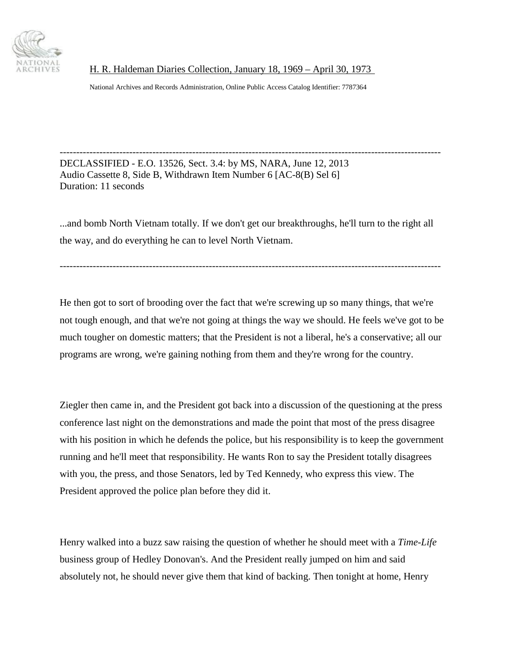

National Archives and Records Administration, Online Public Access Catalog Identifier: 7787364

------------------------------------------------------------------------------------------------------------------- DECLASSIFIED - E.O. 13526, Sect. 3.4: by MS, NARA, June 12, 2013 Audio Cassette 8, Side B, Withdrawn Item Number 6 [AC-8(B) Sel 6] Duration: 11 seconds

...and bomb North Vietnam totally. If we don't get our breakthroughs, he'll turn to the right all the way, and do everything he can to level North Vietnam.

-------------------------------------------------------------------------------------------------------------------

He then got to sort of brooding over the fact that we're screwing up so many things, that we're not tough enough, and that we're not going at things the way we should. He feels we've got to be much tougher on domestic matters; that the President is not a liberal, he's a conservative; all our programs are wrong, we're gaining nothing from them and they're wrong for the country.

Ziegler then came in, and the President got back into a discussion of the questioning at the press conference last night on the demonstrations and made the point that most of the press disagree with his position in which he defends the police, but his responsibility is to keep the government running and he'll meet that responsibility. He wants Ron to say the President totally disagrees with you, the press, and those Senators, led by Ted Kennedy, who express this view. The President approved the police plan before they did it.

Henry walked into a buzz saw raising the question of whether he should meet with a *Time-Life* business group of Hedley Donovan's. And the President really jumped on him and said absolutely not, he should never give them that kind of backing. Then tonight at home, Henry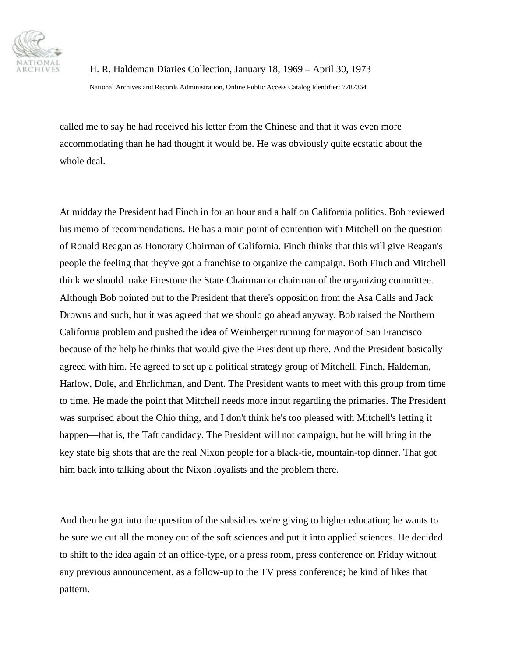

National Archives and Records Administration, Online Public Access Catalog Identifier: 7787364

called me to say he had received his letter from the Chinese and that it was even more accommodating than he had thought it would be. He was obviously quite ecstatic about the whole deal.

At midday the President had Finch in for an hour and a half on California politics. Bob reviewed his memo of recommendations. He has a main point of contention with Mitchell on the question of Ronald Reagan as Honorary Chairman of California. Finch thinks that this will give Reagan's people the feeling that they've got a franchise to organize the campaign. Both Finch and Mitchell think we should make Firestone the State Chairman or chairman of the organizing committee. Although Bob pointed out to the President that there's opposition from the Asa Calls and Jack Drowns and such, but it was agreed that we should go ahead anyway. Bob raised the Northern California problem and pushed the idea of Weinberger running for mayor of San Francisco because of the help he thinks that would give the President up there. And the President basically agreed with him. He agreed to set up a political strategy group of Mitchell, Finch, Haldeman, Harlow, Dole, and Ehrlichman, and Dent. The President wants to meet with this group from time to time. He made the point that Mitchell needs more input regarding the primaries. The President was surprised about the Ohio thing, and I don't think he's too pleased with Mitchell's letting it happen—that is, the Taft candidacy. The President will not campaign, but he will bring in the key state big shots that are the real Nixon people for a black-tie, mountain-top dinner. That got him back into talking about the Nixon loyalists and the problem there.

And then he got into the question of the subsidies we're giving to higher education; he wants to be sure we cut all the money out of the soft sciences and put it into applied sciences. He decided to shift to the idea again of an office-type, or a press room, press conference on Friday without any previous announcement, as a follow-up to the TV press conference; he kind of likes that pattern.